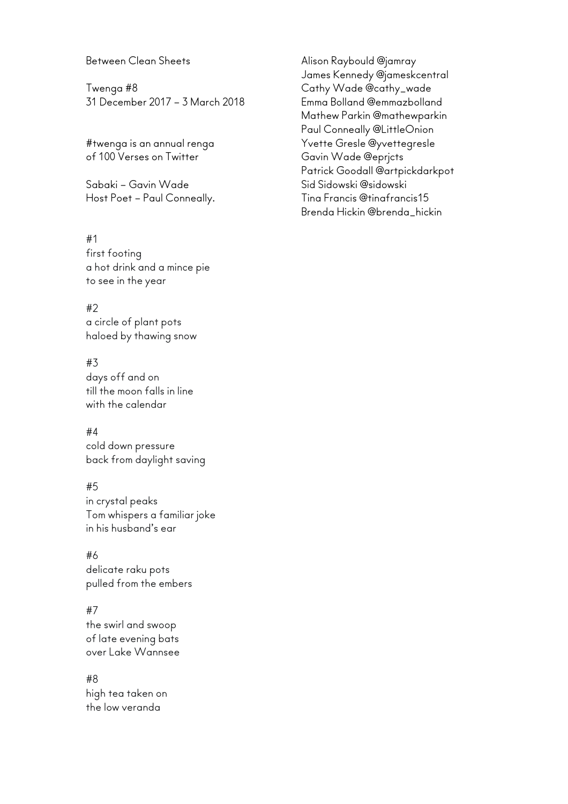#### Between Clean Sheets

Twenga #8 31 December 2017 – 3 March 2018

#twenga is an annual renga of 100 Verses on Twitter

Sabaki – Gavin Wade Host Poet – Paul Conneally.

#### #1

first footing a hot drink and a mince pie to see in the year

#### #2

a circle of plant pots haloed by thawing snow

#### #3

days off and on till the moon falls in line with the calendar

## #4

cold down pressure back from daylight saving

## #5

in crystal peaks Tom whispers a familiar joke in his husband's ear

#### #6

delicate raku pots pulled from the embers

## #7

the swirl and swoop of late evening bats over Lake Wannsee

## #8

high tea taken on the low veranda

Alison Raybould @jamray James Kennedy @jameskcentral Cathy Wade @cathy\_wade Emma Bolland @emmazbolland Mathew Parkin @mathewparkin Paul Conneally @LittleOnion Yvette Gresle @yvettegresle Gavin Wade @eprjcts Patrick Goodall @artpickdarkpot Sid Sidowski @sidowski Tina Francis @tinafrancis15 Brenda Hickin @brenda\_hickin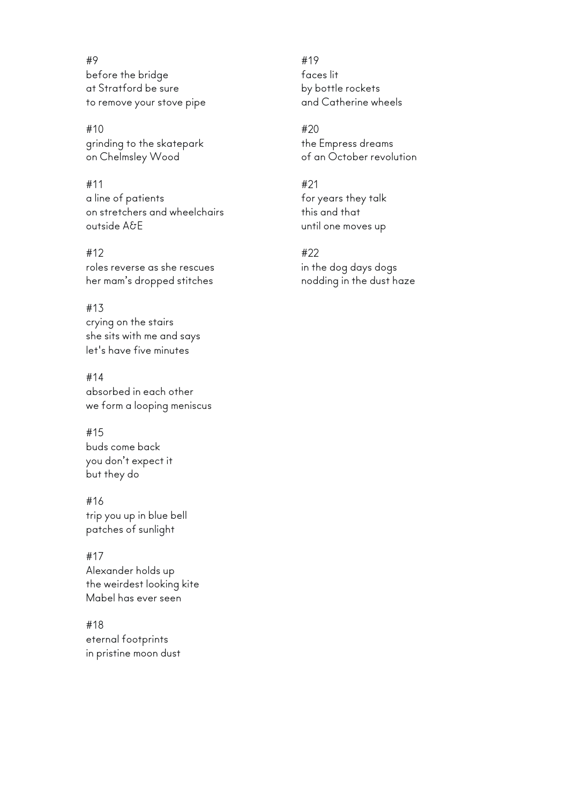#9 before the bridge at Stratford be sure to remove your stove pipe

#10 grinding to the skatepark on Chelmsley Wood

#11 a line of patients on stretchers and wheelchairs outside A&E

#12 roles reverse as she rescues her mam's dropped stitches

#13 crying on the stairs she sits with me and says let's have five minutes

#14 absorbed in each other we form a looping meniscus

#15 buds come back you don't expect it but they do

#16 trip you up in blue bell patches of sunlight

#17 Alexander holds up the weirdest looking kite Mabel has ever seen

#18 eternal footprints in pristine moon dust

#19 faces lit by bottle rockets and Catherine wheels

#20 the Empress dreams of an October revolution

#21 for years they talk this and that until one moves up

#22 in the dog days dogs nodding in the dust haze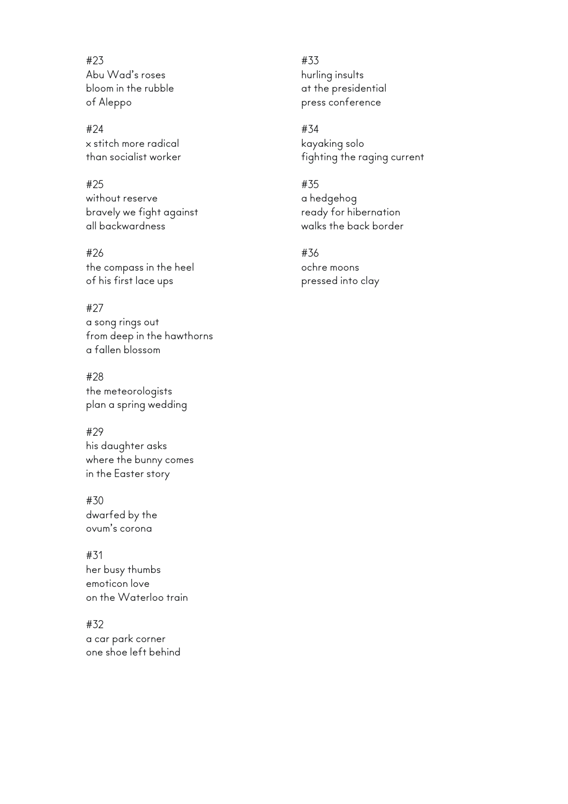#23 Abu Wad's roses bloom in the rubble of Aleppo

#24 x stitch more radical than socialist worker

#25 without reserve bravely we fight against all backwardness

#26 the compass in the heel of his first lace ups

#27 a song rings out from deep in the hawthorns a fallen blossom

#28 the meteorologists plan a spring wedding

#29 his daughter asks where the bunny comes in the Easter story

#30 dwarfed by the ovum's corona

#31 her busy thumbs emoticon love on the Waterloo train

#32 a car park corner one shoe left behind #33 hurling insults at the presidential press conference

#34 kayaking solo fighting the raging current

#35 a hedgehog ready for hibernation walks the back border

#36 ochre moons pressed into clay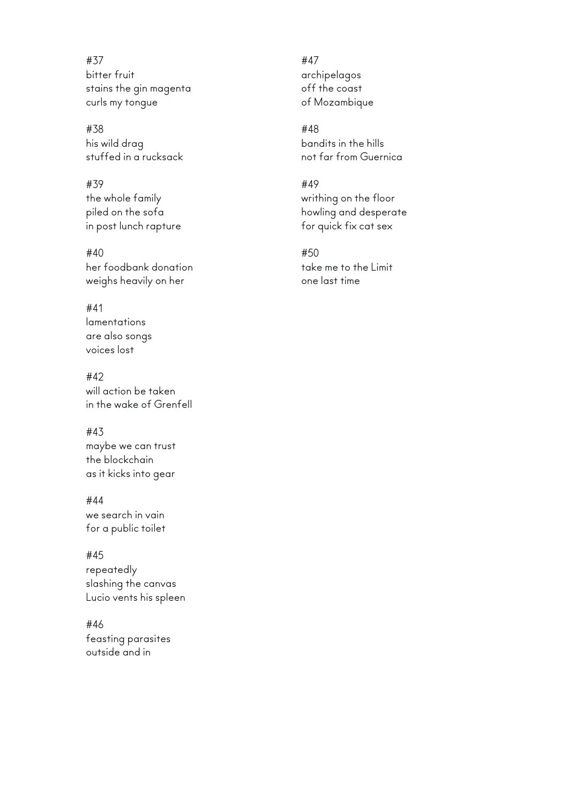#37 bitter fruit stains the gin magenta curls my tongue

#38 his wild drag stuffed in a rucksack

#39 the whole family piled on the sofa in post lunch rapture

#40 her foodbank donation weighs heavily on her

#### #41 lamentations are also songs voices lost

#42 will action be taken in the wake of Grenfell

# #43

maybe we can trust the blockchain as it kicks into gear

#44

we search in vain for a public toilet

#45

repeatedly slashing the canvas Lucio vents his spleen

#46 feasting parasites outside and in

#47 archipelagos off the coast of Mozambique

#48 bandits in the hills not far from Guernica

#49 writhing on the floor howling and desperate for quick fix cat sex

#50 take me to the Limit one last time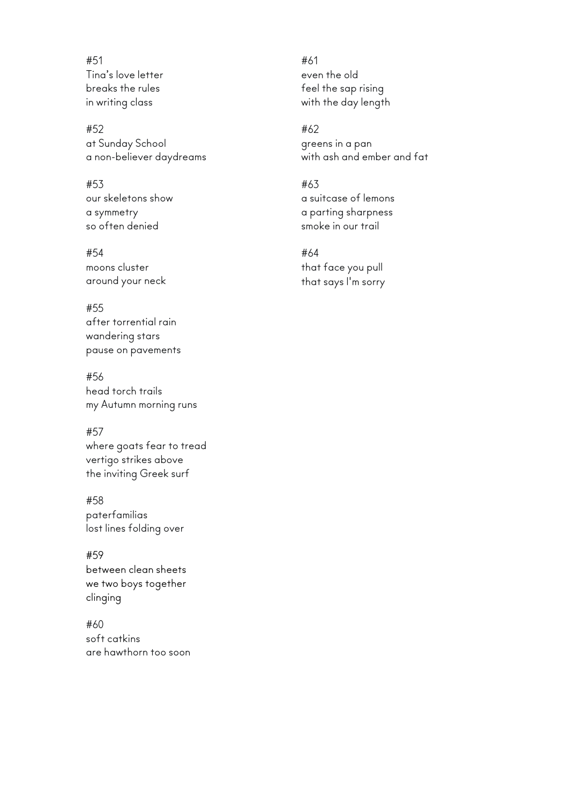#51 Tina's love letter breaks the rules in writing class

#52 at Sunday School a non-believer daydreams

#53 our skeletons show a symmetry so often denied

#54 moons cluster around your neck

#55 after torrential rain wandering stars pause on pavements

#56 head torch trails my Autumn morning runs

#57 where goats fear to tread vertigo strikes above the inviting Greek surf

#58 paterfamilias lost lines folding over

#59 between clean sheets we two boys together clinging

#60 soft catkins are hawthorn too soon #61 even the old feel the sap rising with the day length

#62 greens in a pan with ash and ember and fat

#63 a suitcase of lemons a parting sharpness smoke in our trail

#64 that face you pull that says I'm sorry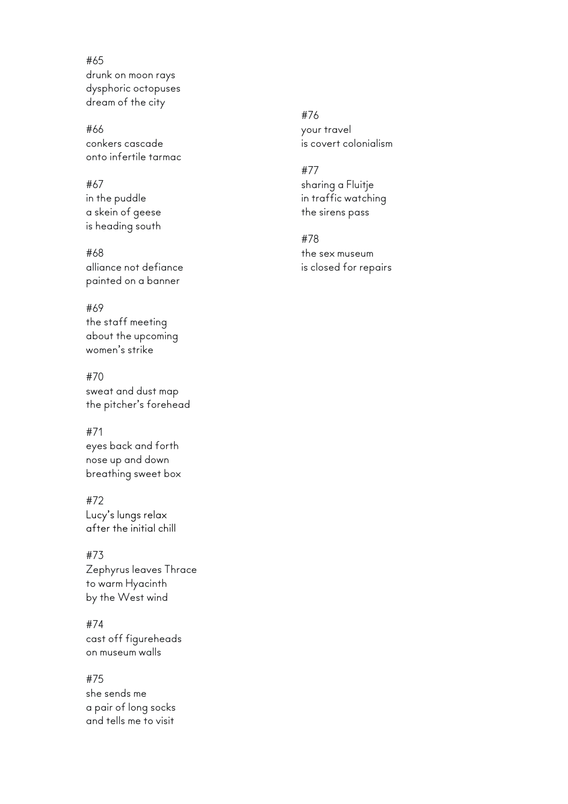#65 drunk on moon rays dysphoric octopuses dream of the city

#66 conkers cascade onto infertile tarmac

# #67 in the puddle a skein of geese is heading south

#68 alliance not defiance painted on a banner

# #69

the staff meeting about the upcoming women's strike

#70 sweat and dust map the pitcher's forehead

#71

eyes back and forth nose up and down breathing sweet box

#72 Lucy's lungs relax after the initial chill

#73 Zephyrus leaves Thrace

to warm Hyacinth by the West wind

#74 cast off figureheads on museum walls

#75 she sends me a pair of long socks and tells me to visit

#76 your travel is covert colonialism

# #77 sharing a Fluitje in traffic watching the sirens pass

#78 the sex museum is closed for repairs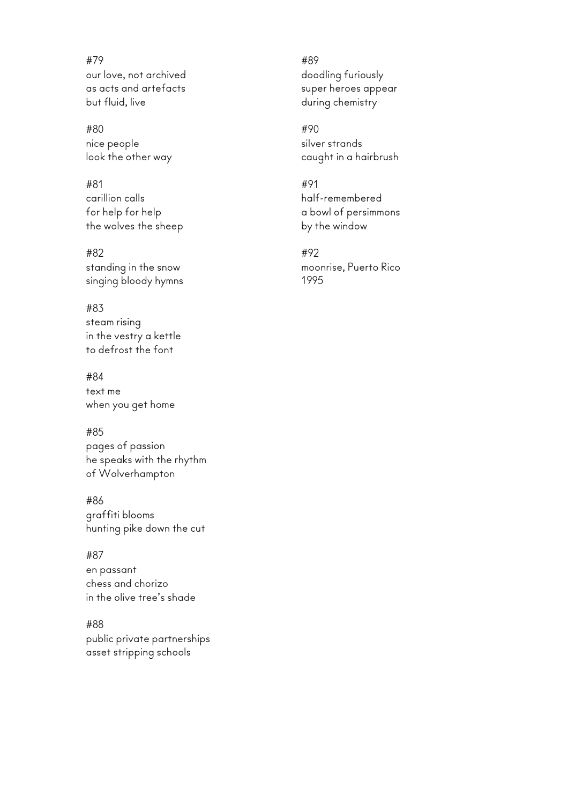#79 our love, not archived as acts and artefacts but fluid, live

#80 nice people look the other way

#81 carillion calls for help for help the wolves the sheep

#82 standing in the snow singing bloody hymns

#83 steam rising in the vestry a kettle to defrost the font

#84 text me when you get home

#85 pages of passion he speaks with the rhythm of Wolverhampton

#86 graffiti blooms hunting pike down the cut

#87 en passant chess and chorizo in the olive tree's shade

#88 public private partnerships asset stripping schools

#89 doodling furiously super heroes appear during chemistry

#90 silver strands caught in a hairbrush

#91 half-remembered a bowl of persimmons by the window

#92 moonrise, Puerto Rico 1995